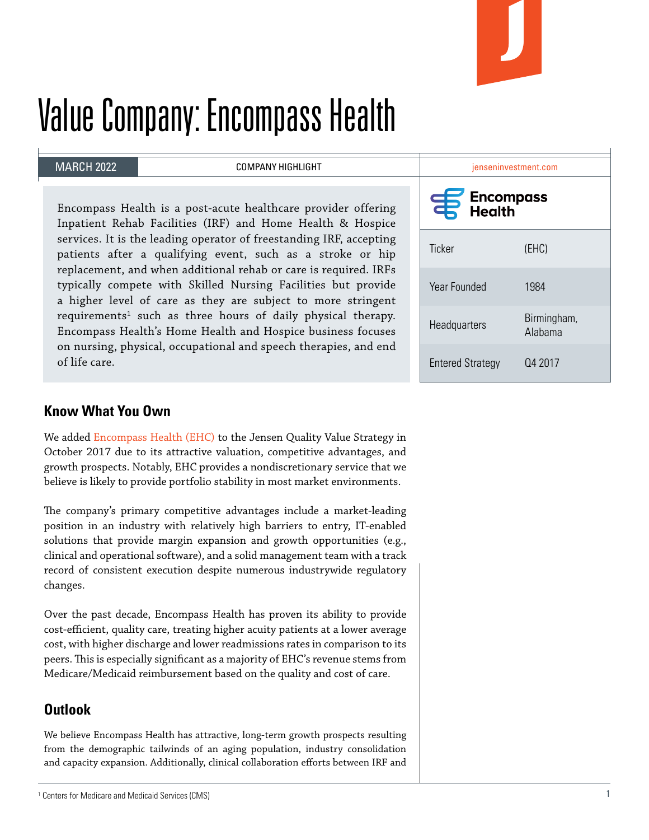

# Value Company: Encompass Health

#### MARCH 2022

COMPANY HIGHLIGHT

Encompass Health is a post-acute healthcare provider offering Inpatient Rehab Facilities (IRF) and Home Health & Hospice services. It is the leading operator of freestanding IRF, accepting patients after a qualifying event, such as a stroke or hip replacement, and when additional rehab or care is required. IRFs typically compete with Skilled Nursing Facilities but provide a higher level of care as they are subject to more stringent  $requirements<sup>1</sup> such as three hours of daily physical therapy.$ Encompass Health's Home Health and Hospice business focuses on nursing, physical, occupational and speech therapies, and end of life care.

| jenseninvestment.com                   |                        |
|----------------------------------------|------------------------|
| <b>Encompass</b><br>丰<br><b>Health</b> |                        |
| <b>Ticker</b>                          | (EHC)                  |
| Year Founded                           | 1984                   |
| Headquarters                           | Birmingham,<br>Alahama |
| <b>Entered Strategy</b>                | Q4 2017                |

### **Know What You Own**

We added [Encompass Health \(EHC\)](https://investor.encompasshealth.com/home/default.aspx) to the Jensen Quality Value Strategy in October 2017 due to its attractive valuation, competitive advantages, and growth prospects. Notably, EHC provides a nondiscretionary service that we believe is likely to provide portfolio stability in most market environments.

The company's primary competitive advantages include a market-leading position in an industry with relatively high barriers to entry, IT-enabled solutions that provide margin expansion and growth opportunities (e.g., clinical and operational software), and a solid management team with a track record of consistent execution despite numerous industrywide regulatory changes.

Over the past decade, Encompass Health has proven its ability to provide cost-efficient, quality care, treating higher acuity patients at a lower average cost, with higher discharge and lower readmissions rates in comparison to its peers. This is especially significant as a majority of EHC's revenue stems from Medicare/Medicaid reimbursement based on the quality and cost of care.

## **Outlook**

We believe Encompass Health has attractive, long-term growth prospects resulting from the demographic tailwinds of an aging population, industry consolidation and capacity expansion. Additionally, clinical collaboration efforts between IRF and